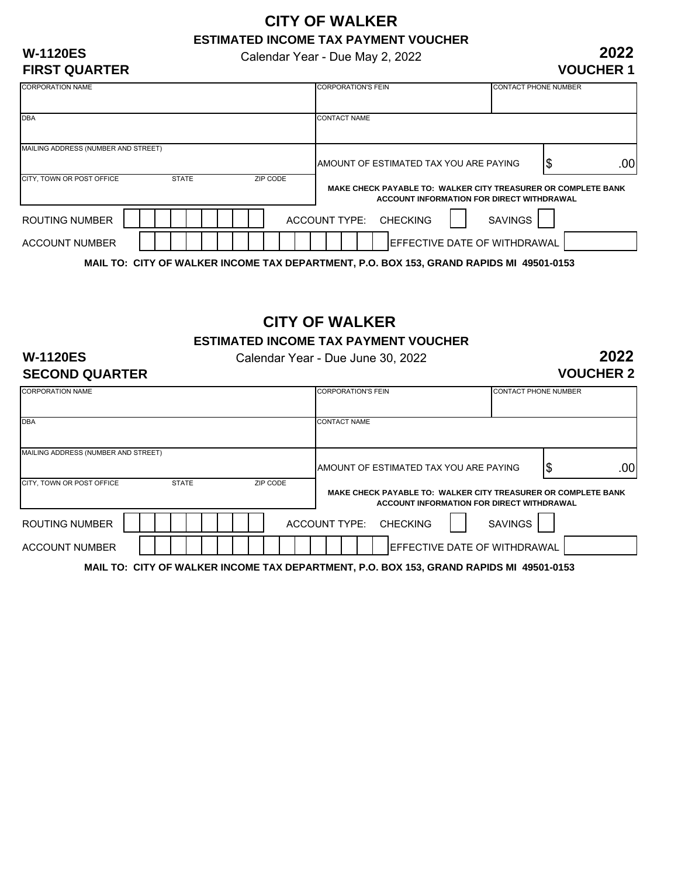# **CITY OF WALKER ESTIMATED INCOME TAX PAYMENT VOUCHER**

Calendar Year - Due May 2, 2022

#### **W-1120ES FIRST QUARTER**

| <b>CORPORATION NAME</b>             |              | <b>CORPORATION'S FEIN</b> | <b>CONTACT PHONE NUMBER</b>                                   |                        |  |
|-------------------------------------|--------------|---------------------------|---------------------------------------------------------------|------------------------|--|
|                                     |              |                           |                                                               |                        |  |
|                                     |              |                           |                                                               |                        |  |
| <b>DBA</b>                          |              |                           | <b>CONTACT NAME</b>                                           |                        |  |
|                                     |              |                           |                                                               |                        |  |
|                                     |              |                           |                                                               |                        |  |
|                                     |              |                           |                                                               |                        |  |
| MAILING ADDRESS (NUMBER AND STREET) |              |                           |                                                               |                        |  |
|                                     |              |                           |                                                               |                        |  |
|                                     |              |                           | IAMOUNT OF ESTIMATED TAX YOU ARE PAYING                       | .00 <sub>l</sub><br>\$ |  |
| CITY, TOWN OR POST OFFICE           | <b>STATE</b> | ZIP CODE                  |                                                               |                        |  |
|                                     |              |                           |                                                               |                        |  |
|                                     |              |                           | MAKE CHECK PAYABLE TO: WALKER CITY TREASURER OR COMPLETE BANK |                        |  |
|                                     |              |                           | ACCOUNT INFORMATION FOR DIRECT WITHDRAWAL                     |                        |  |
|                                     |              |                           |                                                               |                        |  |
| <b>ROUTING NUMBER</b>               |              |                           | ACCOUNT TYPE: CHECKING                                        | <b>SAVINGS</b>         |  |
|                                     |              |                           |                                                               |                        |  |
|                                     |              |                           |                                                               |                        |  |
| <b>ACCOUNT NUMBER</b>               |              |                           | <b>IEFFECTIVE DATE OF WITHDRAWAL</b>                          |                        |  |
|                                     |              |                           |                                                               |                        |  |
|                                     |              |                           |                                                               |                        |  |

**MAIL TO: CITY OF WALKER INCOME TAX DEPARTMENT, P.O. BOX 153, GRAND RAPIDS MI 49501-0153**

# **CITY OF WALKER**

**ESTIMATED INCOME TAX PAYMENT VOUCHER**

#### **W-1120ES SECOND QUARTER**

Calendar Year - Due June 30, 2022

**2022 VOUCHER 2**

| <b>CORPORATION NAME</b>             |              | <b>CORPORATION'S FEIN</b> |                                                                                         | <b>CONTACT PHONE NUMBER</b>               |                |   |     |
|-------------------------------------|--------------|---------------------------|-----------------------------------------------------------------------------------------|-------------------------------------------|----------------|---|-----|
|                                     |              |                           |                                                                                         |                                           |                |   |     |
| <b>DBA</b>                          |              | <b>CONTACT NAME</b>       |                                                                                         |                                           |                |   |     |
| MAILING ADDRESS (NUMBER AND STREET) |              |                           |                                                                                         |                                           |                |   |     |
|                                     |              |                           | <b>AMOUNT OF ESTIMATED TAX YOU ARE PAYING</b>                                           |                                           |                | 5 | .00 |
| CITY. TOWN OR POST OFFICE           | <b>STATE</b> | ZIP CODE                  | MAKE CHECK PAYABLE TO: WALKER CITY TREASURER OR COMPLETE BANK                           | ACCOUNT INFORMATION FOR DIRECT WITHDRAWAL |                |   |     |
| ROUTING NUMBER                      |              |                           | ACCOUNT TYPE: CHECKING                                                                  |                                           | <b>SAVINGS</b> |   |     |
| <b>ACCOUNT NUMBER</b>               |              |                           |                                                                                         | EFFECTIVE DATE OF WITHDRAWAL              |                |   |     |
|                                     |              |                           | MAIL TO: CITY OF WALKER INCOME TAX DEPARTMENT, P.O. BOX 153, GRAND RAPIDS MI 49501-0153 |                                           |                |   |     |

**2022 VOUCHER 1**